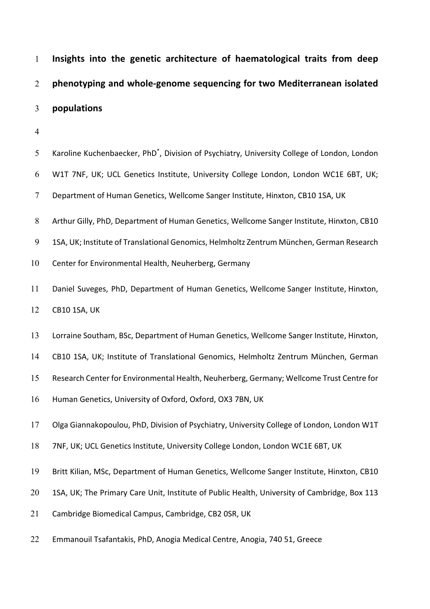**Insights into the genetic architecture of haematological traits from deep phenotyping and whole-genome sequencing for two Mediterranean isolated populations**

| 5      | Karoline Kuchenbaecker, PhD <sup>*</sup> , Division of Psychiatry, University College of London, London |
|--------|---------------------------------------------------------------------------------------------------------|
| 6      | W1T 7NF, UK; UCL Genetics Institute, University College London, London WC1E 6BT, UK;                    |
| $\tau$ | Department of Human Genetics, Wellcome Sanger Institute, Hinxton, CB10 1SA, UK                          |
| $8\,$  | Arthur Gilly, PhD, Department of Human Genetics, Wellcome Sanger Institute, Hinxton, CB10               |
| 9      | 1SA, UK; Institute of Translational Genomics, Helmholtz Zentrum München, German Research                |
| 10     | Center for Environmental Health, Neuherberg, Germany                                                    |
| 11     | Daniel Suveges, PhD, Department of Human Genetics, Wellcome Sanger Institute, Hinxton,                  |
| 12     | <b>CB10 1SA, UK</b>                                                                                     |
| 13     | Lorraine Southam, BSc, Department of Human Genetics, Wellcome Sanger Institute, Hinxton,                |
| 14     | CB10 1SA, UK; Institute of Translational Genomics, Helmholtz Zentrum München, German                    |
| 15     | Research Center for Environmental Health, Neuherberg, Germany; Wellcome Trust Centre for                |
| 16     | Human Genetics, University of Oxford, Oxford, OX3 7BN, UK                                               |
| 17     | Olga Giannakopoulou, PhD, Division of Psychiatry, University College of London, London W1T              |
| 18     | 7NF, UK; UCL Genetics Institute, University College London, London WC1E 6BT, UK                         |
| 19     | Britt Kilian, MSc, Department of Human Genetics, Wellcome Sanger Institute, Hinxton, CB10               |
| 20     | 1SA, UK; The Primary Care Unit, Institute of Public Health, University of Cambridge, Box 113            |
| 21     | Cambridge Biomedical Campus, Cambridge, CB2 OSR, UK                                                     |
| 22     | Emmanouil Tsafantakis, PhD, Anogia Medical Centre, Anogia, 740 51, Greece                               |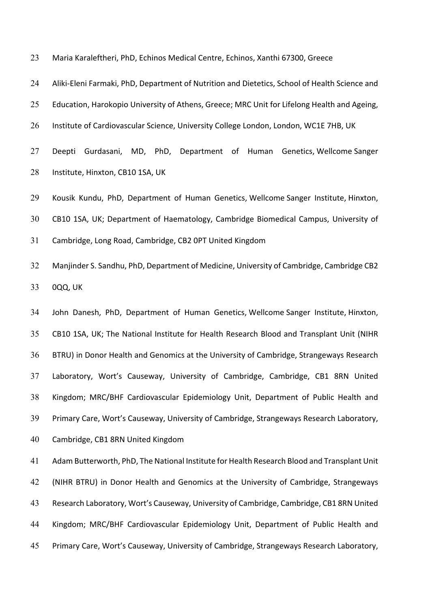Maria Karaleftheri, PhD, Echinos Medical Centre, Echinos, Xanthi 67300, Greece

 Aliki-Eleni Farmaki, PhD, Department of Nutrition and Dietetics, School of Health Science and 25 Education, Harokopio University of Athens, Greece; MRC Unit for Lifelong Health and Ageing,

Institute of Cardiovascular Science, University College London, London, WC1E 7HB, UK

 Deepti Gurdasani, MD, PhD, Department of Human Genetics, Wellcome Sanger Institute, Hinxton, CB10 1SA, UK

Kousik Kundu, PhD, Department of Human Genetics, Wellcome Sanger Institute, Hinxton,

CB10 1SA, UK; Department of Haematology, Cambridge Biomedical Campus, University of

Cambridge, Long Road, Cambridge, CB2 0PT United Kingdom

 Manjinder S. Sandhu, PhD, Department of Medicine, University of Cambridge, Cambridge CB2 0QQ, UK

 John Danesh, PhD, Department of Human Genetics, Wellcome Sanger Institute, Hinxton, CB10 1SA, UK; The National Institute for Health Research Blood and Transplant Unit (NIHR BTRU) in Donor Health and Genomics at the University of Cambridge, Strangeways Research Laboratory, Wort's Causeway, University of Cambridge, Cambridge, CB1 8RN United Kingdom; MRC/BHF Cardiovascular Epidemiology Unit, Department of Public Health and Primary Care, Wort's Causeway, University of Cambridge, Strangeways Research Laboratory, Cambridge, CB1 8RN United Kingdom

 Adam Butterworth, PhD, The National Institute for Health Research Blood and Transplant Unit (NIHR BTRU) in Donor Health and Genomics at the University of Cambridge, Strangeways Research Laboratory, Wort's Causeway, University of Cambridge, Cambridge, CB1 8RN United Kingdom; MRC/BHF Cardiovascular Epidemiology Unit, Department of Public Health and Primary Care, Wort's Causeway, University of Cambridge, Strangeways Research Laboratory,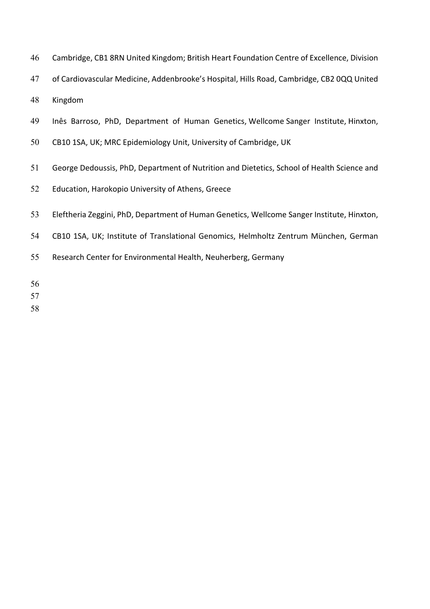| 46 | Cambridge, CB1 8RN United Kingdom; British Heart Foundation Centre of Excellence, Division |
|----|--------------------------------------------------------------------------------------------|
| 47 | of Cardiovascular Medicine, Addenbrooke's Hospital, Hills Road, Cambridge, CB2 0QQ United  |
| 48 | Kingdom                                                                                    |
| 49 | Inês Barroso, PhD, Department of Human Genetics, Wellcome Sanger Institute, Hinxton,       |
| 50 | CB10 1SA, UK; MRC Epidemiology Unit, University of Cambridge, UK                           |
| 51 | George Dedoussis, PhD, Department of Nutrition and Dietetics, School of Health Science and |
| 52 | Education, Harokopio University of Athens, Greece                                          |
| 53 | Eleftheria Zeggini, PhD, Department of Human Genetics, Wellcome Sanger Institute, Hinxton, |
| 54 | CB10 1SA, UK; Institute of Translational Genomics, Helmholtz Zentrum München, German       |
| 55 | Research Center for Environmental Health, Neuherberg, Germany                              |
| 56 |                                                                                            |
| 57 |                                                                                            |
| 58 |                                                                                            |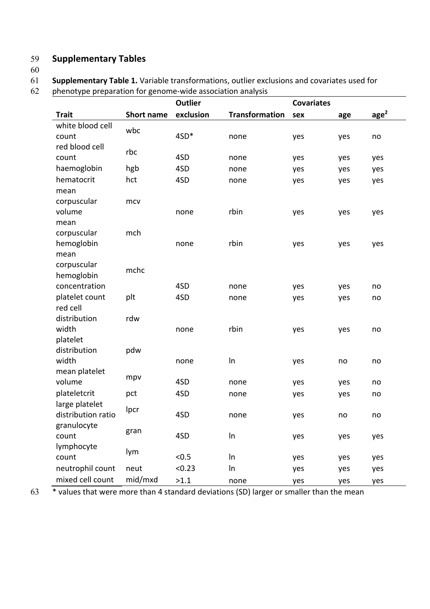## 59 **Supplementary Tables**

60

61 **Supplementary Table 1.** Variable transformations, outlier exclusions and covariates used for

| phenotype preparation for genome-wide association analysis |
|------------------------------------------------------------|
|                                                            |
|                                                            |

|                                      |                   | <b>Outlier</b> |                       | <b>Covariates</b> |     |                   |
|--------------------------------------|-------------------|----------------|-----------------------|-------------------|-----|-------------------|
| <b>Trait</b>                         | <b>Short name</b> | exclusion      | <b>Transformation</b> | sex               | age | $\frac{age^2}{2}$ |
| white blood cell                     | wbc               |                |                       |                   |     |                   |
| count                                |                   | 4SD*           | none                  | yes               | yes | no                |
| red blood cell                       | rbc               |                |                       |                   |     |                   |
| count                                |                   | 4SD            | none                  | yes               | yes | yes               |
| haemoglobin                          | hgb               | 4SD            | none                  | yes               | yes | yes               |
| hematocrit                           | hct               | 4SD            | none                  | yes               | yes | yes               |
| mean                                 |                   |                |                       |                   |     |                   |
| corpuscular                          | mcv               |                |                       |                   |     |                   |
| volume                               |                   | none           | rbin                  | yes               | yes | yes               |
| mean                                 |                   |                |                       |                   |     |                   |
| corpuscular                          | mch               |                |                       |                   |     |                   |
| hemoglobin                           |                   | none           | rbin                  | yes               | yes | yes               |
| mean                                 |                   |                |                       |                   |     |                   |
| corpuscular                          | mchc              |                |                       |                   |     |                   |
| hemoglobin                           |                   |                |                       |                   |     |                   |
| concentration                        |                   | 4SD            | none                  | yes               | yes | no                |
| platelet count                       | plt               | 4SD            | none                  | yes               | yes | no                |
| red cell                             |                   |                |                       |                   |     |                   |
| distribution                         | rdw               |                |                       |                   |     |                   |
| width                                |                   | none           | rbin                  | yes               | yes | no                |
| platelet                             |                   |                |                       |                   |     |                   |
| distribution                         | pdw               |                |                       |                   |     |                   |
| width                                |                   | none           | In                    | yes               | no  | no                |
| mean platelet<br>volume              | mpv               | 4SD            |                       |                   |     |                   |
|                                      |                   |                | none                  | yes               | yes | no                |
| plateletcrit                         | pct               | 4SD            | none                  | yes               | yes | no                |
| large platelet<br>distribution ratio | Ipcr              | 4SD            |                       |                   |     |                   |
|                                      |                   |                | none                  | yes               | no  | no                |
| granulocyte<br>count                 | gran              | 4SD            | In                    |                   |     |                   |
| lymphocyte                           |                   |                |                       | yes               | yes | yes               |
| count                                | lym               | < 0.5          | In                    |                   |     |                   |
| neutrophil count                     | neut              | < 0.23         | In                    | yes               | yes | yes               |
|                                      |                   |                |                       | yes               | yes | yes               |
| mixed cell count                     | mid/mxd           | >1.1           | none                  | yes               | yes | yes               |

63 \* values that were more than 4 standard deviations (SD) larger or smaller than the mean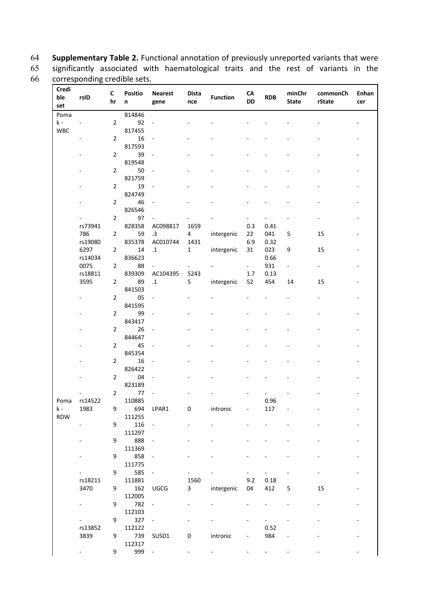64 **Supplementary Table 2.** Functional annotation of previously unreported variants that were 65 significantly associated with haematological traits and the rest of variants in the corresponding credible sets.

| Credi      |         |                |                     |                          |                |                 |                          |                          |                        |                    |       |
|------------|---------|----------------|---------------------|--------------------------|----------------|-----------------|--------------------------|--------------------------|------------------------|--------------------|-------|
| ble        | rsID    | C<br>hr        | <b>Positio</b><br>n | <b>Nearest</b>           | <b>Dista</b>   | <b>Function</b> | ${\sf CA}$<br>DD         | <b>RDB</b>               | minChr<br><b>State</b> | commonCh<br>rState | Enhan |
| set        |         |                |                     | gene                     | nce            |                 |                          |                          |                        |                    | cer   |
| Poma       |         |                | 814846              |                          |                |                 |                          |                          |                        |                    |       |
| $k -$      |         | $\overline{2}$ | 92                  |                          |                |                 |                          |                          |                        |                    |       |
| <b>WBC</b> |         |                | 817455              |                          |                |                 |                          |                          |                        |                    |       |
|            |         | $\overline{2}$ | 16                  | $\blacksquare$           |                |                 |                          |                          |                        |                    |       |
|            |         |                | 817593              |                          |                |                 |                          |                          |                        |                    |       |
|            |         | $\overline{2}$ | 39                  |                          |                |                 |                          |                          |                        |                    |       |
|            |         |                | 819548              |                          |                |                 |                          |                          |                        |                    |       |
|            |         | $\overline{2}$ | 50                  |                          |                |                 |                          |                          |                        |                    |       |
|            |         |                | 821759              |                          |                |                 |                          |                          |                        |                    |       |
|            |         | $\overline{2}$ | 19                  |                          |                |                 |                          |                          |                        |                    |       |
|            |         | $\overline{2}$ | 824749<br>46        |                          |                |                 |                          |                          |                        |                    |       |
|            |         |                | 826546              |                          |                |                 |                          |                          |                        |                    |       |
|            |         | $\overline{2}$ | 97                  |                          |                |                 |                          |                          |                        |                    |       |
|            | rs73941 |                | 828358              | AC098817                 | 1659           |                 | 0.3                      | 0.41                     |                        |                    |       |
|            | 786     | $\overline{2}$ | 59                  | .3                       | 4              | intergenic      | 22                       | 041                      | 5                      | 15                 |       |
|            | rs19080 |                | 835378              | AC010744                 | 1431           |                 | 6.9                      | 0.32                     |                        |                    |       |
|            | 6297    | $\overline{2}$ | 14                  | $\cdot$ 1                | $\mathbf{1}$   | intergenic      | 31                       | 023                      | 9                      | 15                 |       |
|            | rs14034 |                | 836623              |                          |                |                 |                          | 0.66                     |                        |                    |       |
|            | 0075    | $\mathbf{2}$   | 88                  |                          |                |                 | $\overline{\phantom{0}}$ | 931                      | $\frac{1}{2}$          |                    |       |
|            | rs18811 |                | 839309              | AC104395                 | 5243           |                 | 1.7                      | 0.13                     |                        |                    |       |
|            | 3595    | $\mathbf{2}$   | 89                  | $\cdot \mathbf{1}$       | 5              | intergenic      | 52                       | 454                      | 14                     | 15                 |       |
|            |         |                | 841503              |                          |                |                 |                          |                          |                        |                    |       |
|            |         | $\overline{2}$ | 05                  |                          |                |                 |                          |                          |                        |                    |       |
|            |         |                | 841595              |                          |                |                 |                          |                          |                        |                    |       |
|            |         | $\overline{2}$ | 99                  |                          |                |                 |                          |                          |                        |                    |       |
|            |         |                | 843417              |                          |                |                 |                          |                          |                        |                    |       |
|            |         | $\overline{2}$ | 26                  | ÷,                       |                |                 |                          |                          |                        |                    |       |
|            |         |                | 844647              |                          |                |                 |                          |                          |                        |                    |       |
|            |         | $\overline{2}$ | 45                  |                          |                |                 |                          |                          |                        |                    |       |
|            |         |                | 845354              |                          |                |                 |                          |                          |                        |                    |       |
|            |         | $\overline{2}$ | 16<br>826422        |                          |                |                 |                          |                          |                        |                    |       |
|            |         | $\mathbf{2}$   | 04                  |                          |                |                 |                          |                          |                        |                    |       |
|            |         |                | 823189              |                          |                |                 |                          |                          |                        |                    |       |
|            |         | $\mathbf{2}$   | 77                  |                          |                |                 |                          |                          |                        |                    |       |
| Poma       | rs14522 |                | 110885              |                          |                |                 |                          | 0.96                     |                        |                    |       |
| $k -$      | 1983    |                | 9 694 LPAR1         |                          | 0              | intronic        |                          | $117\,$                  |                        |                    |       |
| RDW        |         |                | 111255              |                          |                |                 |                          |                          |                        |                    |       |
|            |         | 9              | 116                 | $\overline{\phantom{a}}$ |                |                 |                          |                          |                        |                    |       |
|            |         |                | 111297              |                          |                |                 |                          |                          |                        |                    |       |
|            |         | 9              | 888                 |                          |                |                 |                          |                          |                        |                    |       |
|            |         |                | 111369              |                          |                |                 |                          |                          |                        |                    |       |
|            |         | 9              | 858                 |                          |                |                 |                          |                          |                        |                    |       |
|            |         |                | 111775              |                          |                |                 |                          |                          |                        |                    |       |
|            | $\sim$  | 9              | 585                 | ÷                        | $\blacksquare$ |                 | ۰.                       | $\blacksquare$           |                        |                    |       |
|            | rs18211 |                | 111881              |                          | 1560           |                 | 9.2                      | 0.18                     |                        |                    |       |
|            | 3470    | 9              | 162                 | UGCG                     | 3              | intergenic      | 04                       | 412                      | 5                      | 15                 |       |
|            |         |                | 112005              |                          |                |                 |                          |                          |                        |                    |       |
|            |         | 9              | 782                 | $\overline{\phantom{a}}$ |                |                 |                          |                          |                        |                    |       |
|            |         |                | 112103              |                          |                |                 |                          |                          |                        |                    |       |
|            |         | 9              | 327                 | ÷                        |                |                 |                          | $\overline{\phantom{0}}$ |                        |                    |       |
|            | rs13852 |                | 112122              |                          |                |                 |                          | 0.52                     |                        |                    |       |
|            | 3839    | 9              | 739<br>112317       | SUSD1                    | $\pmb{0}$      | intronic        |                          | 984                      |                        |                    |       |
|            |         | 9              | 999                 | ÷,                       |                |                 |                          |                          |                        |                    |       |
|            |         |                |                     |                          |                |                 |                          |                          |                        |                    |       |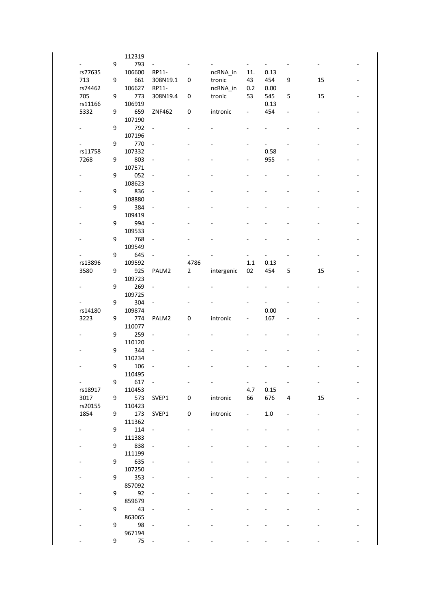|             |   | 112319 |                              |                |            |                          |                     |   |    |  |
|-------------|---|--------|------------------------------|----------------|------------|--------------------------|---------------------|---|----|--|
|             | 9 | 793    | $\blacksquare$               |                |            |                          |                     |   |    |  |
| rs77635     |   | 106600 | RP11-                        |                | ncRNA_in   | 11.                      | 0.13                |   |    |  |
| 713         | 9 | 661    | 308N19.1                     | 0              | tronic     | 43                       | 454                 | 9 | 15 |  |
| rs74462     |   | 106627 | RP11-                        |                | ncRNA_in   | 0.2                      | 0.00                |   |    |  |
| 705         | 9 | 773    | 308N19.4                     | 0              | tronic     | 53                       | 545                 | 5 | 15 |  |
| rs11166     |   | 106919 |                              |                |            |                          | 0.13                |   |    |  |
|             |   |        |                              |                |            |                          |                     |   |    |  |
| 5332        | 9 | 659    | ZNF462                       | 0              | intronic   | $\overline{\phantom{a}}$ | 454                 |   |    |  |
|             |   | 107190 |                              |                |            |                          |                     |   |    |  |
|             | 9 | 792    | $\blacksquare$               |                |            |                          |                     |   |    |  |
|             |   | 107196 |                              |                |            |                          |                     |   |    |  |
|             | 9 | 770    | $\overline{\phantom{a}}$     |                |            |                          |                     |   |    |  |
| rs11758     |   | 107332 |                              |                |            |                          | 0.58                |   |    |  |
| 7268        | 9 | 803    | $\Box$                       |                |            |                          | 955                 |   |    |  |
|             |   | 107571 |                              |                |            |                          |                     |   |    |  |
|             | 9 | 052    | $\blacksquare$               |                |            |                          |                     |   |    |  |
|             |   | 108623 |                              |                |            |                          |                     |   |    |  |
|             | 9 | 836    | $\overline{\phantom{a}}$     |                |            |                          |                     |   |    |  |
|             |   | 108880 |                              |                |            |                          |                     |   |    |  |
|             |   |        |                              |                |            |                          |                     |   |    |  |
|             | 9 | 384    | $\blacksquare$               |                |            |                          |                     |   |    |  |
|             |   | 109419 |                              |                |            |                          |                     |   |    |  |
|             | 9 | 994    | $\blacksquare$               |                |            |                          |                     |   |    |  |
|             |   | 109533 |                              |                |            |                          |                     |   |    |  |
|             | 9 | 768    | $\overline{\phantom{a}}$     |                |            |                          |                     |   |    |  |
|             |   | 109549 |                              |                |            |                          |                     |   |    |  |
|             | 9 | 645    | $\Box$                       |                |            |                          |                     |   |    |  |
| rs13896     |   | 109592 |                              | 4786           |            | 1.1                      | 0.13                |   |    |  |
| 3580        | 9 | 925    | PALM2                        | $\overline{2}$ | intergenic | 02                       | 454                 | 5 | 15 |  |
|             |   | 109723 |                              |                |            |                          |                     |   |    |  |
|             | 9 | 269    | $\overline{\phantom{a}}$     |                |            |                          |                     |   |    |  |
|             |   |        |                              |                |            |                          |                     |   |    |  |
|             |   | 109725 |                              |                |            |                          |                     |   |    |  |
|             | 9 | 304    | $\blacksquare$               |                |            |                          |                     |   |    |  |
| rs14180     |   | 109874 |                              |                |            |                          | 0.00                |   |    |  |
| 3223        | 9 | 774    | PALM2                        | 0              | intronic   | $\overline{\phantom{a}}$ | 167                 |   |    |  |
|             |   | 110077 |                              |                |            |                          |                     |   |    |  |
|             | 9 | 259    | $\overline{\phantom{a}}$     |                |            |                          |                     |   |    |  |
|             |   |        |                              |                |            |                          |                     |   |    |  |
|             |   | 110120 |                              |                |            |                          |                     |   |    |  |
|             | 9 |        | $\blacksquare$               |                |            |                          |                     |   |    |  |
|             |   | 344    |                              |                |            |                          |                     |   |    |  |
|             |   | 110234 |                              |                |            |                          |                     |   |    |  |
|             | 9 | 106    |                              |                |            |                          |                     |   |    |  |
|             |   | 110495 |                              |                |            |                          |                     |   |    |  |
| All Control | 9 | 617    | $\overline{\phantom{a}}$     |                |            | ۰,                       | $\omega_{\rm{max}}$ |   | ۰  |  |
| rs18917     |   | 110453 |                              |                |            | 4.7                      | 0.15                |   |    |  |
| 3017        | 9 | 573    | SVEP1                        | 0              | intronic   | 66                       | 676                 | 4 | 15 |  |
| rs20155     |   | 110423 |                              |                |            |                          |                     |   |    |  |
| 1854        | 9 | 173    | SVEP1                        | 0              | intronic   | $\sim$                   | $1.0\,$             |   |    |  |
|             |   | 111362 |                              |                |            |                          |                     |   |    |  |
|             | 9 | 114    | $\blacksquare$               |                |            |                          |                     |   |    |  |
|             |   | 111383 |                              |                |            |                          |                     |   |    |  |
|             | 9 |        | $\overline{\phantom{a}}$     |                |            |                          |                     |   |    |  |
|             |   | 838    |                              |                |            |                          |                     |   |    |  |
|             |   | 111199 | $\qquad \qquad \blacksquare$ |                |            |                          |                     |   |    |  |
|             | 9 | 635    |                              |                |            |                          |                     |   |    |  |
|             |   | 107250 |                              |                |            |                          |                     |   |    |  |
|             | 9 | 353    |                              |                |            |                          |                     |   |    |  |
|             |   | 857092 |                              |                |            |                          |                     |   |    |  |
|             | 9 | 92     | $\blacksquare$               |                |            |                          |                     |   |    |  |
|             |   | 859679 |                              |                |            |                          |                     |   |    |  |
|             | 9 | 43     | $\qquad \qquad \blacksquare$ |                |            |                          |                     |   |    |  |
|             |   | 863065 |                              |                |            |                          |                     |   |    |  |
|             | 9 | 98     | $\overline{\phantom{a}}$     |                |            |                          |                     |   |    |  |
|             |   | 967194 |                              |                |            |                          |                     |   |    |  |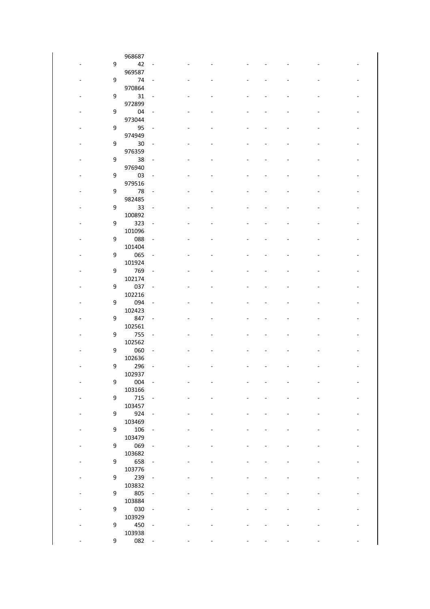|                              |   | 968687        |                          |  |  |                          |                   |
|------------------------------|---|---------------|--------------------------|--|--|--------------------------|-------------------|
|                              | 9 | 42            | $\blacksquare$           |  |  |                          |                   |
|                              |   | 969587        |                          |  |  |                          |                   |
|                              | 9 | 74            | $\blacksquare$           |  |  |                          |                   |
|                              |   | 970864        |                          |  |  |                          |                   |
|                              | 9 | 31            | $\blacksquare$           |  |  |                          |                   |
|                              |   | 972899        |                          |  |  |                          |                   |
|                              | 9 | 04            | $\blacksquare$           |  |  |                          |                   |
|                              |   | 973044        |                          |  |  |                          |                   |
|                              | 9 | 95            | $\overline{\phantom{a}}$ |  |  |                          |                   |
|                              |   | 974949        |                          |  |  |                          |                   |
|                              | 9 | 30            | $\overline{\phantom{a}}$ |  |  |                          |                   |
|                              |   | 976359        |                          |  |  |                          |                   |
|                              | 9 | 38            | $\blacksquare$           |  |  |                          |                   |
|                              |   | 976940        |                          |  |  |                          |                   |
|                              | 9 | 03            | ÷,                       |  |  |                          |                   |
|                              |   | 979516        |                          |  |  |                          |                   |
|                              | 9 | 78            | $\blacksquare$           |  |  | $\overline{\phantom{0}}$ | $\qquad \qquad -$ |
|                              |   | 982485        |                          |  |  |                          |                   |
|                              | 9 | 33            | $\blacksquare$           |  |  |                          |                   |
|                              |   | 100892        |                          |  |  |                          |                   |
|                              | 9 | 323           | $\overline{\phantom{a}}$ |  |  |                          |                   |
|                              | 9 | 101096<br>088 |                          |  |  |                          |                   |
|                              |   | 101404        | $\overline{\phantom{a}}$ |  |  |                          |                   |
|                              | 9 | 065           | $\blacksquare$           |  |  |                          |                   |
|                              |   | 101924        |                          |  |  |                          |                   |
|                              | 9 | 769           | $\blacksquare$           |  |  |                          |                   |
|                              |   | 102174        |                          |  |  |                          |                   |
|                              | 9 | 037           | $\overline{\phantom{a}}$ |  |  |                          |                   |
|                              |   | 102216        |                          |  |  |                          |                   |
|                              | 9 | 094           | $\overline{\phantom{a}}$ |  |  |                          |                   |
|                              |   | 102423        |                          |  |  |                          |                   |
|                              | 9 | 847           | $\blacksquare$           |  |  |                          |                   |
|                              |   | 102561        |                          |  |  |                          |                   |
|                              | 9 | 755           | $\blacksquare$           |  |  |                          |                   |
|                              |   | 102562        |                          |  |  |                          |                   |
|                              | 9 | 060           | $\overline{\phantom{a}}$ |  |  |                          |                   |
|                              |   | 102636        |                          |  |  |                          |                   |
|                              | 9 | 296<br>102937 | $\blacksquare$           |  |  |                          |                   |
| $\qquad \qquad \blacksquare$ | 9 | 004           | $\sim$                   |  |  |                          |                   |
|                              |   | 103166        |                          |  |  |                          |                   |
|                              | 9 | 715           | $\overline{\phantom{a}}$ |  |  |                          |                   |
|                              |   | 103457        |                          |  |  |                          |                   |
|                              | 9 | 924           | $\Box$                   |  |  |                          |                   |
|                              |   | 103469        |                          |  |  |                          |                   |
|                              | 9 | 106           | $\overline{\phantom{a}}$ |  |  |                          |                   |
|                              |   | 103479        |                          |  |  |                          |                   |
|                              | 9 | 069           | $\overline{\phantom{a}}$ |  |  |                          |                   |
|                              |   | 103682        |                          |  |  |                          |                   |
|                              | 9 | 658           | $\overline{\phantom{a}}$ |  |  |                          |                   |
|                              |   | 103776        |                          |  |  |                          |                   |
|                              | 9 | 239           | $\blacksquare$           |  |  |                          |                   |
|                              |   | 103832        |                          |  |  |                          |                   |
|                              | 9 | 805           | $\overline{\phantom{a}}$ |  |  |                          |                   |
|                              | 9 | 103884        |                          |  |  |                          |                   |
|                              |   | 030<br>103929 | $\overline{\phantom{a}}$ |  |  |                          |                   |
|                              | 9 | 450           | $\overline{\phantom{a}}$ |  |  |                          |                   |
|                              |   | 103938        |                          |  |  |                          |                   |
|                              | 9 | 082           |                          |  |  |                          |                   |
|                              |   |               |                          |  |  |                          |                   |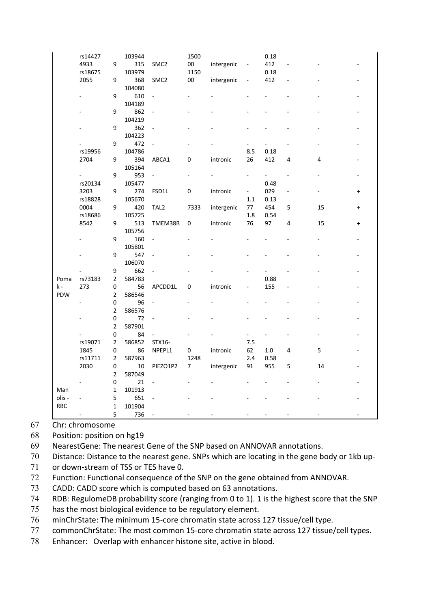|            | rs14427        |                          | 103944 |                          | 1500       |            |                          | 0.18           |                |               |           |
|------------|----------------|--------------------------|--------|--------------------------|------------|------------|--------------------------|----------------|----------------|---------------|-----------|
|            | 4933           | 9                        | 315    | SMC <sub>2</sub>         | $00\,$     | intergenic | $\overline{\phantom{a}}$ | 412            |                |               |           |
|            | rs18675        |                          | 103979 |                          | 1150       |            |                          | 0.18           |                |               |           |
|            | 2055           | 9                        | 368    | SMC <sub>2</sub>         | ${\bf 00}$ | intergenic |                          | 412            |                |               |           |
|            |                |                          | 104080 |                          |            |            |                          |                |                |               |           |
|            |                | 9                        | 610    | ÷,                       |            |            |                          |                |                |               |           |
|            |                |                          | 104189 |                          |            |            |                          |                |                |               |           |
|            |                | 9                        | 862    |                          |            |            |                          |                |                |               |           |
|            |                |                          | 104219 |                          |            |            |                          |                |                |               |           |
|            |                | 9                        | 362    | $\overline{\phantom{a}}$ |            |            |                          |                |                |               |           |
|            |                |                          | 104223 |                          |            |            |                          |                |                |               |           |
|            |                | 9                        | 472    |                          |            |            |                          | $\overline{a}$ |                |               |           |
|            | rs19956        |                          | 104786 |                          |            |            | 8.5                      | 0.18           |                |               |           |
|            | 2704           | 9                        | 394    | ABCA1                    | 0          | intronic   | 26                       | 412            | 4              | 4             |           |
|            |                |                          | 105164 |                          |            |            |                          |                |                |               |           |
|            | $\sim 100$     | 9                        | 953    | $\Box$                   |            |            |                          | ä,             | $\overline{a}$ |               |           |
|            | rs20134        |                          | 105477 |                          |            |            |                          | 0.48           |                |               |           |
|            | 3203           | 9                        | 274    | FSD1L                    | 0          | intronic   | $\blacksquare$           | 029            | ÷,             | $\frac{1}{2}$ | $\ddot{}$ |
|            | rs18828        |                          | 105670 |                          |            |            | 1.1                      | 0.13           |                |               |           |
|            | 0004           | 9                        | 420    | TAL <sub>2</sub>         | 7333       | intergenic | $77\,$                   | 454            | 5              | 15            | $\ddot{}$ |
|            | rs18686        |                          | 105725 |                          |            |            | 1.8                      | 0.54           |                |               |           |
|            | 8542           | 9                        | 513    | TMEM38B                  | 0          | intronic   | 76                       | 97             | 4              | 15            | $\ddot{}$ |
|            |                |                          | 105756 |                          |            |            |                          |                |                |               |           |
|            |                |                          | 160    |                          |            |            |                          |                |                |               |           |
|            |                | 9                        | 105801 |                          |            |            |                          |                |                |               |           |
|            |                | 9                        | 547    |                          |            |            |                          |                |                |               |           |
|            |                |                          | 106070 |                          |            |            |                          |                |                |               |           |
|            |                | 9                        | 662    |                          |            |            |                          |                |                |               |           |
|            |                | $\mathbf 2$              | 584783 |                          |            |            |                          | 0.88           |                |               |           |
| Poma       | rs73183<br>273 | $\pmb{0}$                | 56     |                          | 0          |            |                          |                |                |               |           |
| k -<br>PDW |                | $\mathbf 2$              | 586546 | APCDD1L                  |            | intronic   |                          | 155            |                |               |           |
|            |                |                          | 96     |                          |            |            |                          |                |                |               |           |
|            |                | $\pmb{0}$                |        | $\overline{\phantom{a}}$ |            |            |                          |                |                |               |           |
|            |                | $\overline{2}$           | 586576 |                          |            |            |                          |                |                |               |           |
|            |                | $\pmb{0}$<br>$\mathbf 2$ | 72     |                          |            |            |                          |                |                |               |           |
|            |                |                          | 587901 |                          |            |            |                          |                |                |               |           |
|            |                | $\pmb{0}$                | 84     |                          |            |            |                          |                |                |               |           |
|            | rs19071        | 2                        | 586852 | STX16-                   |            |            | 7.5                      |                |                |               |           |
|            | 1845           | 0                        | 86     | NPEPL1                   | 0          | intronic   | 62                       | 1.0            | 4              | 5             |           |
|            | rs11711        | $\mathbf{2}$             | 587963 |                          | 1248       |            | 2.4                      | 0.58           |                |               |           |
|            | 2030           | $\mathsf 0$              | $10\,$ | PIEZO1P2                 | 7          | intergenic | 91                       | 955            | 5              | 14            |           |
|            |                | $\mathbf 2$              | 587049 |                          |            |            |                          |                |                |               |           |
|            |                | $\pmb{0}$                | 21     | ÷,                       |            |            |                          |                |                |               |           |
| Man        |                | $\mathbf 1$              | 101913 |                          |            |            |                          |                |                |               |           |
| olis -     |                | 5                        | 651    |                          |            |            |                          |                |                |               |           |
| <b>RBC</b> |                | $\mathbf 1$              | 101904 |                          |            |            |                          |                |                |               |           |
|            |                | 5                        | 736    |                          |            |            |                          |                |                |               |           |

- Chr: chromosome
- Position: position on hg19
- NearestGene: The nearest Gene of the SNP based on ANNOVAR annotations.
- Distance: Distance to the nearest gene. SNPs which are locating in the gene body or 1kb up-
- or down-stream of TSS or TES have 0.
- Function: Functional consequence of the SNP on the gene obtained from ANNOVAR.
- CADD: CADD score which is computed based on 63 annotations.
- RDB: RegulomeDB probability score (ranging from 0 to 1). 1 is the highest score that the SNP
- has the most biological evidence to be regulatory element.
- minChrState: The minimum 15-core chromatin state across 127 tissue/cell type.
- commonChrState: The most common 15-core chromatin state across 127 tissue/cell types.
- Enhancer: Overlap with enhancer histone site, active in blood.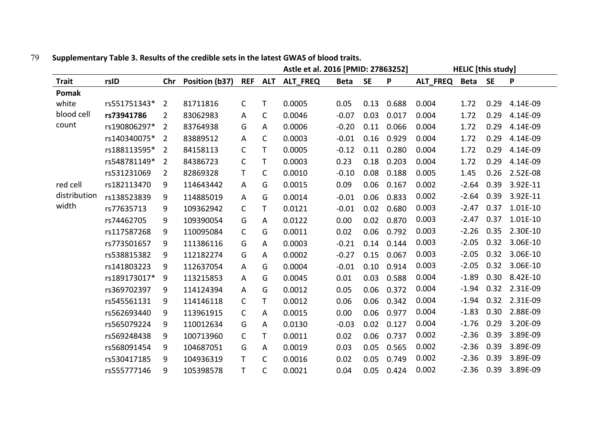|              |              |                |                |              |              | Astle et al. 2016 [PMID: 27863252] |             |           |       |          | <b>HELIC</b> [this study] |           |          |
|--------------|--------------|----------------|----------------|--------------|--------------|------------------------------------|-------------|-----------|-------|----------|---------------------------|-----------|----------|
| <b>Trait</b> | rsID         | Chr            | Position (b37) |              | REF ALT      | ALT_FREQ                           | <b>Beta</b> | <b>SE</b> | P     | ALT_FREQ | <b>Beta</b>               | <b>SE</b> | P        |
| Pomak        |              |                |                |              |              |                                    |             |           |       |          |                           |           |          |
| white        | rs551751343* | $\overline{2}$ | 81711816       | C            | T            | 0.0005                             | 0.05        | 0.13      | 0.688 | 0.004    | 1.72                      | 0.29      | 4.14E-09 |
| blood cell   | rs73941786   | $\overline{2}$ | 83062983       | A            | C            | 0.0046                             | $-0.07$     | 0.03      | 0.017 | 0.004    | 1.72                      | 0.29      | 4.14E-09 |
| count        | rs190806297* | $\overline{2}$ | 83764938       | G            | Α            | 0.0006                             | $-0.20$     | 0.11      | 0.066 | 0.004    | 1.72                      | 0.29      | 4.14E-09 |
|              | rs140340075* | $\overline{2}$ | 83889512       | A            | C            | 0.0003                             | $-0.01$     | 0.16      | 0.929 | 0.004    | 1.72                      | 0.29      | 4.14E-09 |
|              | rs188113595* | 2              | 84158113       | $\mathsf{C}$ | T            | 0.0005                             | $-0.12$     | 0.11      | 0.280 | 0.004    | 1.72                      | 0.29      | 4.14E-09 |
|              | rs548781149* | $\overline{2}$ | 84386723       | C            | T            | 0.0003                             | 0.23        | 0.18      | 0.203 | 0.004    | 1.72                      | 0.29      | 4.14E-09 |
|              | rs531231069  | $\overline{2}$ | 82869328       | T.           | C            | 0.0010                             | $-0.10$     | 0.08      | 0.188 | 0.005    | 1.45                      | 0.26      | 2.52E-08 |
| red cell     | rs182113470  | 9              | 114643442      | A            | G            | 0.0015                             | 0.09        | 0.06      | 0.167 | 0.002    | $-2.64$                   | 0.39      | 3.92E-11 |
| distribution | rs138523839  | 9              | 114885019      | A            | G            | 0.0014                             | $-0.01$     | 0.06      | 0.833 | 0.002    | $-2.64$                   | 0.39      | 3.92E-11 |
| width        | rs77635713   | 9              | 109362942      | $\mathsf{C}$ | T            | 0.0121                             | $-0.01$     | 0.02      | 0.680 | 0.003    | $-2.47$                   | 0.37      | 1.01E-10 |
|              | rs74462705   | 9              | 109390054      | G            | A            | 0.0122                             | 0.00        | 0.02      | 0.870 | 0.003    | $-2.47$                   | 0.37      | 1.01E-10 |
|              | rs117587268  | 9              | 110095084      | $\mathsf{C}$ | G            | 0.0011                             | 0.02        | 0.06      | 0.792 | 0.003    | $-2.26$                   | 0.35      | 2.30E-10 |
|              | rs773501657  | 9              | 111386116      | G            | A            | 0.0003                             | $-0.21$     | 0.14      | 0.144 | 0.003    | $-2.05$                   | 0.32      | 3.06E-10 |
|              | rs538815382  | 9              | 112182274      | G            | A            | 0.0002                             | $-0.27$     | 0.15      | 0.067 | 0.003    | $-2.05$                   | 0.32      | 3.06E-10 |
|              | rs141803223  | 9              | 112637054      | A            | G            | 0.0004                             | $-0.01$     | 0.10      | 0.914 | 0.003    | $-2.05$                   | 0.32      | 3.06E-10 |
|              | rs189173017* | 9              | 113215853      | A            | G            | 0.0045                             | 0.01        | 0.03      | 0.588 | 0.004    | $-1.89$                   | 0.30      | 8.42E-10 |
|              | rs369702397  | 9              | 114124394      | A            | G            | 0.0012                             | 0.05        | 0.06      | 0.372 | 0.004    | $-1.94$                   | 0.32      | 2.31E-09 |
|              | rs545561131  | 9              | 114146118      | $\mathsf{C}$ | Τ            | 0.0012                             | 0.06        | 0.06      | 0.342 | 0.004    | $-1.94$                   | 0.32      | 2.31E-09 |
|              | rs562693440  | 9              | 113961915      | C            | A            | 0.0015                             | 0.00        | 0.06      | 0.977 | 0.004    | $-1.83$                   | 0.30      | 2.88E-09 |
|              | rs565079224  | 9              | 110012634      | G            | A            | 0.0130                             | $-0.03$     | 0.02      | 0.127 | 0.004    | $-1.76$                   | 0.29      | 3.20E-09 |
|              | rs569248438  | 9              | 100713960      | C            | T            | 0.0011                             | 0.02        | 0.06      | 0.737 | 0.002    | $-2.36$                   | 0.39      | 3.89E-09 |
|              | rs568091454  | 9              | 104687051      | G            | A            | 0.0019                             | 0.03        | 0.05      | 0.565 | 0.002    | $-2.36$                   | 0.39      | 3.89E-09 |
|              | rs530417185  | 9              | 104936319      | T.           | C            | 0.0016                             | 0.02        | 0.05      | 0.749 | 0.002    | $-2.36$                   | 0.39      | 3.89E-09 |
|              | rs555777146  | 9              | 105398578      | T.           | $\mathsf{C}$ | 0.0021                             | 0.04        | 0.05      | 0.424 | 0.002    | $-2.36$                   | 0.39      | 3.89E-09 |

## 79 **Supplementary Table 3. Results of the credible sets in the latest GWAS of blood traits.**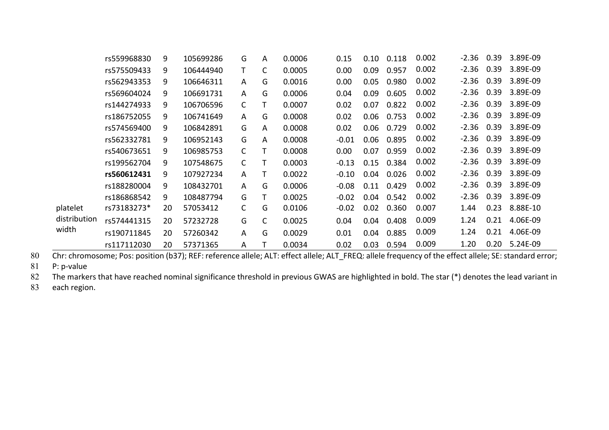|              | rs559968830 | 9  | 105699286 | G            | A            | 0.0006 | 0.15    | 0.10 | 0.118 | 0.002 | $-2.36$ | 0.39 | 3.89E-09 |
|--------------|-------------|----|-----------|--------------|--------------|--------|---------|------|-------|-------|---------|------|----------|
|              | rs575509433 | 9  | 106444940 | T            | C            | 0.0005 | 0.00    | 0.09 | 0.957 | 0.002 | $-2.36$ | 0.39 | 3.89E-09 |
|              | rs562943353 | 9  | 106646311 | A            | G            | 0.0016 | 0.00    | 0.05 | 0.980 | 0.002 | $-2.36$ | 0.39 | 3.89E-09 |
|              | rs569604024 | 9  | 106691731 | A            | G            | 0.0006 | 0.04    | 0.09 | 0.605 | 0.002 | $-2.36$ | 0.39 | 3.89E-09 |
|              | rs144274933 | 9  | 106706596 | $\mathsf{C}$ |              | 0.0007 | 0.02    | 0.07 | 0.822 | 0.002 | $-2.36$ | 0.39 | 3.89E-09 |
|              | rs186752055 | 9  | 106741649 | A            | G            | 0.0008 | 0.02    | 0.06 | 0.753 | 0.002 | $-2.36$ | 0.39 | 3.89E-09 |
|              | rs574569400 | 9  | 106842891 | G            | A            | 0.0008 | 0.02    | 0.06 | 0.729 | 0.002 | $-2.36$ | 0.39 | 3.89E-09 |
|              | rs562332781 | 9  | 106952143 | G            | A            | 0.0008 | $-0.01$ | 0.06 | 0.895 | 0.002 | $-2.36$ | 0.39 | 3.89E-09 |
|              | rs540673651 | 9  | 106985753 | C            |              | 0.0008 | 0.00    | 0.07 | 0.959 | 0.002 | $-2.36$ | 0.39 | 3.89E-09 |
|              | rs199562704 | 9  | 107548675 | C            |              | 0.0003 | $-0.13$ | 0.15 | 0.384 | 0.002 | $-2.36$ | 0.39 | 3.89E-09 |
|              | rs560612431 | 9  | 107927234 | A            |              | 0.0022 | $-0.10$ | 0.04 | 0.026 | 0.002 | $-2.36$ | 0.39 | 3.89E-09 |
|              | rs188280004 | 9  | 108432701 | A            | G            | 0.0006 | $-0.08$ | 0.11 | 0.429 | 0.002 | $-2.36$ | 0.39 | 3.89E-09 |
|              | rs186868542 | 9  | 108487794 | G            | т            | 0.0025 | $-0.02$ | 0.04 | 0.542 | 0.002 | $-2.36$ | 0.39 | 3.89E-09 |
| platelet     | rs73183273* | 20 | 57053412  | $\mathsf{C}$ | G            | 0.0106 | $-0.02$ | 0.02 | 0.360 | 0.007 | 1.44    | 0.23 | 8.88E-10 |
| distribution | rs574441315 | 20 | 57232728  | G            | $\mathsf{C}$ | 0.0025 | 0.04    | 0.04 | 0.408 | 0.009 | 1.24    | 0.21 | 4.06E-09 |
| width        | rs190711845 | 20 | 57260342  | A            | G            | 0.0029 | 0.01    | 0.04 | 0.885 | 0.009 | 1.24    | 0.21 | 4.06E-09 |
|              | rs117112030 | 20 | 57371365  | Α            |              | 0.0034 | 0.02    | 0.03 | 0.594 | 0.009 | 1.20    | 0.20 | 5.24E-09 |

80 Chr: chromosome; Pos: position (b37); REF: reference allele; ALT: effect allele; ALT\_FREQ: allele frequency of the effect allele; SE: standard error;

81 P: p-value

82 The markers that have reached nominal significance threshold in previous GWAS are highlighted in bold. The star (\*) denotes the lead variant in

83 each region.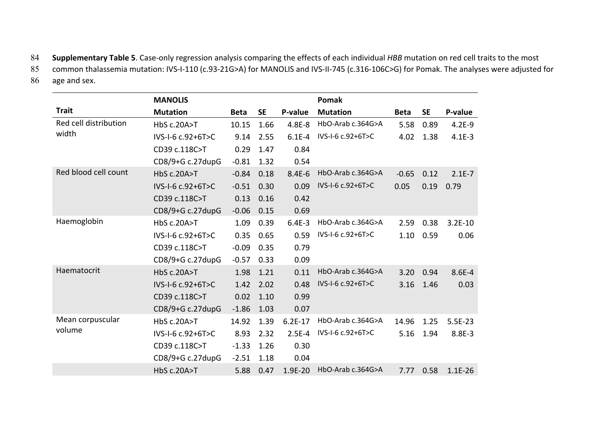84 **Supplementary Table 5**. Case-only regression analysis comparing the effects of each individual *HBB* mutation on red cell traits to the most

85 common thalassemia mutation: IVS-I-110 (c.93-21G>A) for MANOLIS and IVS-II-745 (c.316-106C>G) for Pomak. The analyses were adjusted for

86 age and sex.

|                       | <b>MANOLIS</b>        |             |           |           | Pomak             |             |           |           |
|-----------------------|-----------------------|-------------|-----------|-----------|-------------------|-------------|-----------|-----------|
| <b>Trait</b>          | <b>Mutation</b>       | <b>Beta</b> | <b>SE</b> | P-value   | <b>Mutation</b>   | <b>Beta</b> | <b>SE</b> | P-value   |
| Red cell distribution | <b>HbS c.20A&gt;T</b> | 10.15       | 1.66      | 4.8E-8    | HbO-Arab c.364G>A | 5.58        | 0.89      | $4.2E-9$  |
| width                 | IVS-I-6 c.92+6T>C     | 9.14        | 2.55      | $6.1E-4$  | IVS-I-6 c.92+6T>C | 4.02        | 1.38      | $4.1E-3$  |
|                       | CD39 c.118C>T         | 0.29        | 1.47      | 0.84      |                   |             |           |           |
|                       | CD8/9+G c.27dupG      | $-0.81$     | 1.32      | 0.54      |                   |             |           |           |
| Red blood cell count  | <b>HbS c.20A&gt;T</b> | $-0.84$     | 0.18      | $8.4E-6$  | HbO-Arab c.364G>A | $-0.65$     | 0.12      | $2.1E-7$  |
|                       | IVS-I-6 c.92+6T>C     | $-0.51$     | 0.30      | 0.09      | IVS-I-6 c.92+6T>C | 0.05        | 0.19      | 0.79      |
|                       | CD39 c.118C>T         | 0.13        | 0.16      | 0.42      |                   |             |           |           |
|                       | CD8/9+G c.27dupG      | $-0.06$     | 0.15      | 0.69      |                   |             |           |           |
| Haemoglobin           | HbS c.20A>T           | 1.09        | 0.39      | $6.4E-3$  | HbO-Arab c.364G>A | 2.59        | 0.38      | $3.2E-10$ |
|                       | IVS-I-6 c.92+6T>C     | 0.35        | 0.65      | 0.59      | IVS-I-6 c.92+6T>C | 1.10        | 0.59      | 0.06      |
|                       | CD39 c.118C>T         | $-0.09$     | 0.35      | 0.79      |                   |             |           |           |
|                       | CD8/9+G c.27dupG      | $-0.57$     | 0.33      | 0.09      |                   |             |           |           |
| Haematocrit           | <b>HbS c.20A&gt;T</b> | 1.98        | 1.21      | 0.11      | HbO-Arab c.364G>A | 3.20        | 0.94      | 8.6E-4    |
|                       | IVS-I-6 c.92+6T>C     | 1.42        | 2.02      | 0.48      | IVS-I-6 c.92+6T>C | 3.16        | 1.46      | 0.03      |
|                       | CD39 c.118C>T         | 0.02        | 1.10      | 0.99      |                   |             |           |           |
|                       | CD8/9+G c.27dupG      | $-1.86$     | 1.03      | 0.07      |                   |             |           |           |
| Mean corpuscular      | HbS c.20A>T           | 14.92       | 1.39      | $6.2E-17$ | HbO-Arab c.364G>A | 14.96       | 1.25      | 5.5E-23   |
| volume                | IVS-I-6 c.92+6T>C     | 8.93        | 2.32      | $2.5E-4$  | IVS-I-6 c.92+6T>C | 5.16        | 1.94      | 8.8E-3    |
|                       | CD39 c.118C>T         | $-1.33$     | 1.26      | 0.30      |                   |             |           |           |
|                       | CD8/9+G c.27dupG      | $-2.51$     | 1.18      | 0.04      |                   |             |           |           |
|                       | <b>HbS c.20A&gt;T</b> | 5.88        | 0.47      | 1.9E-20   | HbO-Arab c.364G>A | 7.77        | 0.58      | $1.1E-26$ |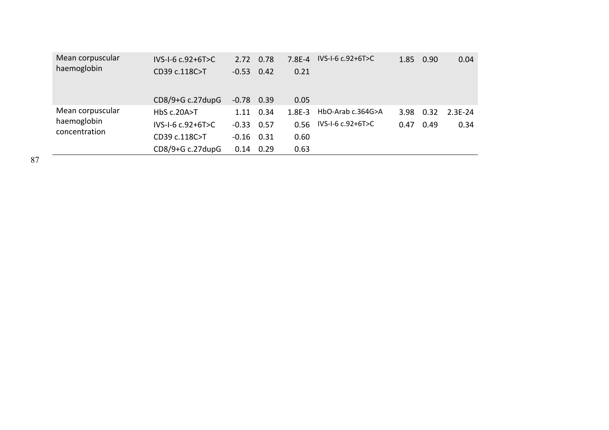| $IVS-I-6 C.92+6T>C$   |         |      | $7.8E - 4$                                                                         | $IVS-I-6 C.92+6T>C$ |      |      | 0.04                   |
|-----------------------|---------|------|------------------------------------------------------------------------------------|---------------------|------|------|------------------------|
| CD39 c.118C>T         | $-0.53$ | 0.42 | 0.21                                                                               |                     |      |      |                        |
| CD8/9+G c.27dupG      |         |      | 0.05                                                                               |                     |      |      |                        |
| <b>HbS c.20A&gt;T</b> | 1.11    |      | $1.8E - 3$                                                                         | HbO-Arab c.364G>A   |      |      | 2.3E-24                |
| $IVS-I-6 C.92+6T>C$   |         |      | 0.56                                                                               | IVS-I-6 c.92+6T>C   | 0.47 | 0.49 | 0.34                   |
| CD39 c.118C>T         |         |      | 0.60                                                                               |                     |      |      |                        |
| CD8/9+G c.27dupG      |         |      | 0.63                                                                               |                     |      |      |                        |
|                       |         |      | 2.72 0.78<br>$-0.78$ 0.39<br>0.34<br>$-0.33$ 0.57<br>$-0.16$ $0.31$<br>$0.14$ 0.29 |                     |      |      | 1.85 0.90<br>3.98 0.32 |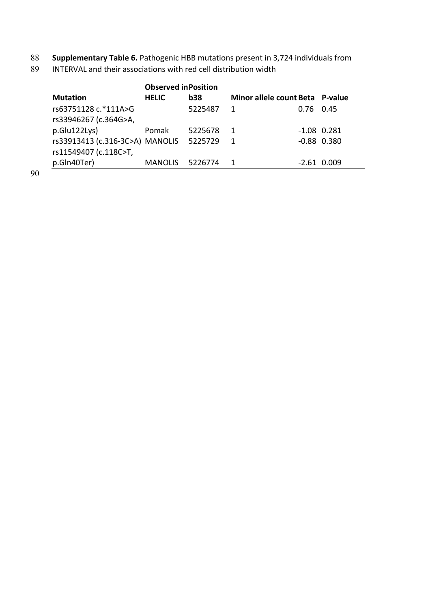88 **Supplementary Table 6.** Pathogenic HBB mutations present in 3,724 individuals from

| <b>Mutation</b>                 | <b>Observed in Position</b> |            |                                 |             |                 |
|---------------------------------|-----------------------------|------------|---------------------------------|-------------|-----------------|
|                                 | <b>HELIC</b>                | <b>b38</b> | Minor allele count Beta P-value |             |                 |
| rs63751128 c.*111A>G            |                             | 5225487    | 1                               | $0.76$ 0.45 |                 |
| rs33946267 (c.364G>A,           |                             |            |                                 |             |                 |
| p.Glu122Lys)                    | Pomak                       | 5225678    | 1                               |             | $-1.08$ 0.281   |
| rs33913413 (c.316-3C>A) MANOLIS |                             | 5225729    | 1                               |             | $-0.88$ $0.380$ |
| rs11549407 (c.118C>T,           |                             |            |                                 |             |                 |
| p.Gln40Ter)                     | <b>MANOLIS</b>              | 5226774    | 1                               | -2.61       | 0.009           |

INTERVAL and their associations with red cell distribution width